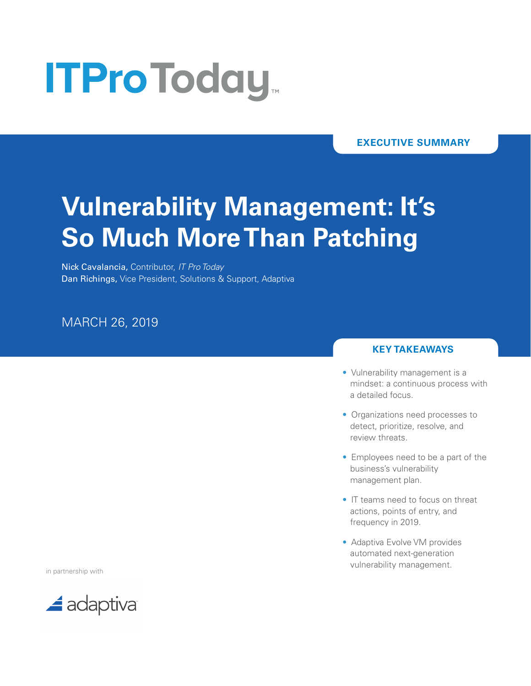# **ITProToday**

**EXECUTIVE SUMMARY**

## **Vulnerability Management: It's So Much More Than Patching**

Nick Cavalancia, Contributor, *IT Pro Today* Dan Richings, Vice President, Solutions & Support, Adaptiva

### MARCH 26, 2019

#### **KEY TAKEAWAYS**

- Vulnerability management is a mindset: a continuous process with a detailed focus.
- Organizations need processes to detect, prioritize, resolve, and review threats.
- Employees need to be a part of the business's vulnerability management plan.
- IT teams need to focus on threat actions, points of entry, and frequency in 2019.
- Adaptiva Evolve VM provides automated next-generation vulnerability management.

in partnership with

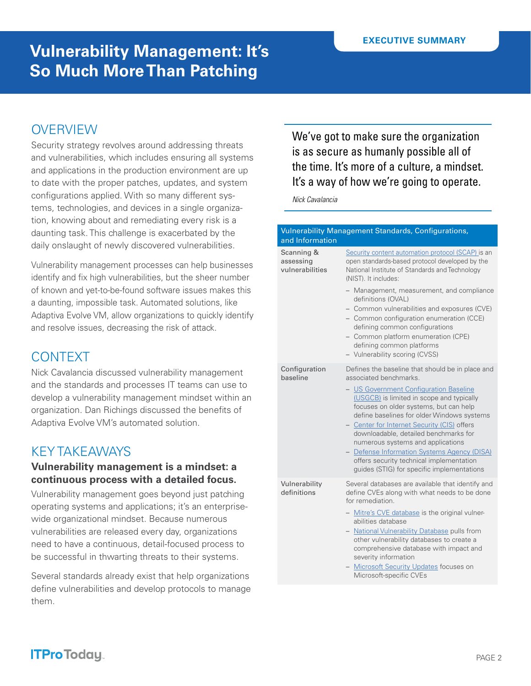### **OVERVIEW**

Security strategy revolves around addressing threats and vulnerabilities, which includes ensuring all systems and applications in the production environment are up to date with the proper patches, updates, and system configurations applied. With so many different systems, technologies, and devices in a single organization, knowing about and remediating every risk is a daunting task. This challenge is exacerbated by the daily onslaught of newly discovered vulnerabilities.

Vulnerability management processes can help businesses identify and fix high vulnerabilities, but the sheer number of known and yet-to-be-found software issues makes this a daunting, impossible task. Automated solutions, like Adaptiva Evolve VM, allow organizations to quickly identify and resolve issues, decreasing the risk of attack.

### **CONTEXT**

Nick Cavalancia discussed vulnerability management and the standards and processes IT teams can use to develop a vulnerability management mindset within an organization. Dan Richings discussed the benefits of Adaptiva Evolve VM's automated solution.

### KEY TAKEAWAYS

#### **Vulnerability management is a mindset: a continuous process with a detailed focus.**

Vulnerability management goes beyond just patching operating systems and applications; it's an enterprisewide organizational mindset. Because numerous vulnerabilities are released every day, organizations need to have a continuous, detail-focused process to be successful in thwarting threats to their systems.

Several standards already exist that help organizations define vulnerabilities and develop protocols to manage them.

We've got to make sure the organization is as secure as humanly possible all of the time. It's more of a culture, a mindset. It's a way of how we're going to operate.

*Nick Cavalancia*

| <b>Vulnerability Management Standards, Configurations,</b><br>and Information |                                                                                                                                                                                                                                                                                                                                                                                                                                                                                                                                 |  |
|-------------------------------------------------------------------------------|---------------------------------------------------------------------------------------------------------------------------------------------------------------------------------------------------------------------------------------------------------------------------------------------------------------------------------------------------------------------------------------------------------------------------------------------------------------------------------------------------------------------------------|--|
| Scanning &<br>assessing<br>vulnerabilities                                    | Security content automation protocol (SCAP) is an<br>open standards-based protocol developed by the<br>National Institute of Standards and Technology<br>(NIST). It includes:<br>- Management, measurement, and compliance<br>definitions (OVAL)<br>- Common vulnerabilities and exposures (CVE)                                                                                                                                                                                                                                |  |
|                                                                               | - Common configuration enumeration (CCE)<br>defining common configurations<br>- Common platform enumeration (CPE)<br>defining common platforms<br>- Vulnerability scoring (CVSS)                                                                                                                                                                                                                                                                                                                                                |  |
| Configuration<br>baseline                                                     | Defines the baseline that should be in place and<br>associated benchmarks.<br>- US Government Configuration Baseline<br>(USGCB) is limited in scope and typically<br>focuses on older systems, but can help<br>define baselines for older Windows systems<br>- Center for Internet Security (CIS) offers<br>downloadable, detailed benchmarks for<br>numerous systems and applications<br>- Defense Information Systems Agency (DISA)<br>offers security technical implementation<br>guides (STIG) for specific implementations |  |
| Vulnerability<br>definitions                                                  | Several databases are available that identify and<br>define CVEs along with what needs to be done<br>for remediation.<br>- Mitre's CVE database is the original vulner-<br>abilities database<br>- National Vulnerability Database pulls from<br>other vulnerability databases to create a<br>comprehensive database with impact and<br>severity information<br>- Microsoft Security Updates focuses on<br>Microsoft-specific CVEs                                                                                              |  |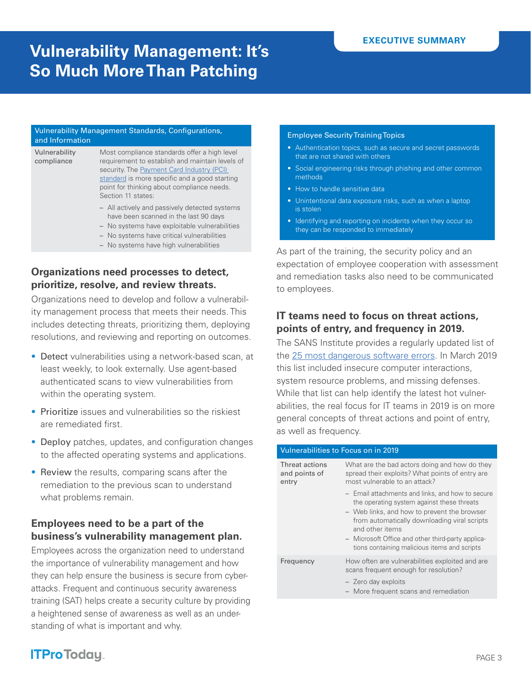#### Vulnerability Management Standards, Configurations, and Information

Vulnerability compliance

Most compliance standards offer a high level requirement to establish and maintain levels of security. The Payment Card Industry (PCI) [standard](https://www.pcisecuritystandards.org/) is more specific and a good starting point for thinking about compliance needs. Section 11 states:

- All actively and passively detected systems have been scanned in the last 90 days
- No systems have exploitable vulnerabilities
- No systems have critical vulnerabilities
- No systems have high vulnerabilities

#### **Organizations need processes to detect, prioritize, resolve, and review threats.**

Organizations need to develop and follow a vulnerability management process that meets their needs. This includes detecting threats, prioritizing them, deploying resolutions, and reviewing and reporting on outcomes.

- Detect vulnerabilities using a network-based scan, at least weekly, to look externally. Use agent-based authenticated scans to view vulnerabilities from within the operating system.
- Prioritize issues and vulnerabilities so the riskiest are remediated first.
- Deploy patches, updates, and configuration changes to the affected operating systems and applications.
- Review the results, comparing scans after the remediation to the previous scan to understand what problems remain.

#### **Employees need to be a part of the business's vulnerability management plan.**

Employees across the organization need to understand the importance of vulnerability management and how they can help ensure the business is secure from cyberattacks. Frequent and continuous security awareness training (SAT) helps create a security culture by providing a heightened sense of awareness as well as an understanding of what is important and why.

#### Employee Security Training Topics

- Authentication topics, such as secure and secret passwords that are not shared with others
- Social engineering risks through phishing and other common methods
- How to handle sensitive data
- Unintentional data exposure risks, such as when a laptop is stolen
- Identifying and reporting on incidents when they occur so they can be responded to immediately

As part of the training, the security policy and an expectation of employee cooperation with assessment and remediation tasks also need to be communicated to employees.

#### **IT teams need to focus on threat actions, points of entry, and frequency in 2019.**

The SANS Institute provides a regularly updated list of the [25 most dangerous software errors.](https://www.sans.org/top25-software-errors) In March 2019 this list included insecure computer interactions, system resource problems, and missing defenses. While that list can help identify the latest hot vulnerabilities, the real focus for IT teams in 2019 is on more general concepts of threat actions and point of entry, as well as frequency.

#### Vulnerabilities to Focus on in 2019

| Threat actions<br>and points of<br>entry | What are the bad actors doing and how do they<br>spread their exploits? What points of entry are<br>most vulnerable to an attack?                                                                                                                                                                                     |
|------------------------------------------|-----------------------------------------------------------------------------------------------------------------------------------------------------------------------------------------------------------------------------------------------------------------------------------------------------------------------|
|                                          | - Email attachments and links, and how to secure<br>the operating system against these threats<br>- Web links, and how to prevent the browser<br>from automatically downloading viral scripts<br>and other items<br>- Microsoft Office and other third-party applica-<br>tions containing malicious items and scripts |
| Frequency                                | How often are vulnerabilities exploited and are<br>scans frequent enough for resolution?                                                                                                                                                                                                                              |
|                                          | - Zero day exploits<br>- More frequent scans and remediation                                                                                                                                                                                                                                                          |

### **ITProToday**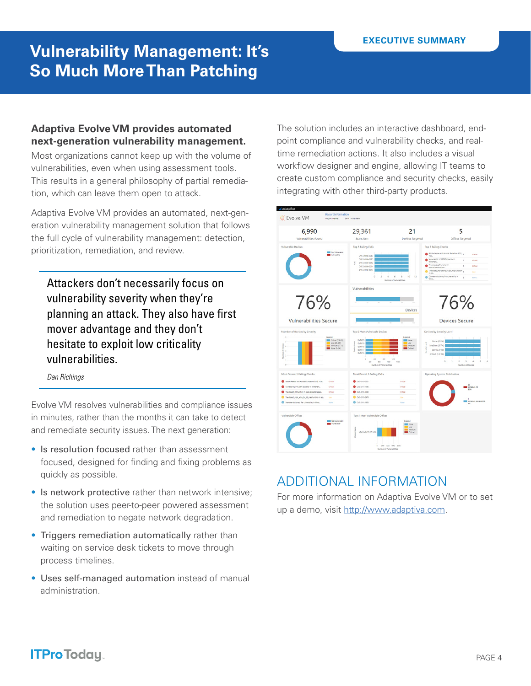#### **Adaptiva Evolve VM provides automated next-generation vulnerability management.**

Most organizations cannot keep up with the volume of vulnerabilities, even when using assessment tools. This results in a general philosophy of partial remediation, which can leave them open to attack.

Adaptiva Evolve VM provides an automated, next-generation vulnerability management solution that follows the full cycle of vulnerability management: detection, prioritization, remediation, and review.

Attackers don't necessarily focus on vulnerability severity when they're planning an attack. They also have first mover advantage and they don't hesitate to exploit low criticality vulnerabilities.

*Dan Richings*

Evolve VM resolves vulnerabilities and compliance issues in minutes, rather than the months it can take to detect and remediate security issues. The next generation:

- Is resolution focused rather than assessment focused, designed for finding and fixing problems as quickly as possible.
- Is network protective rather than network intensive; the solution uses peer-to-peer powered assessment and remediation to negate network degradation.
- Triggers remediation automatically rather than waiting on service desk tickets to move through process timelines.
- Uses self-managed automation instead of manual administration.

The solution includes an interactive dashboard, endpoint compliance and vulnerability checks, and realtime remediation actions. It also includes a visual workflow designer and engine, allowing IT teams to create custom compliance and security checks, easily integrating with other third-party products.



### ADDITIONAL INFORMATION

For more information on Adaptiva Evolve VM or to set up a demo, visit <http://www.adaptiva.com>.

### **ITProToday**